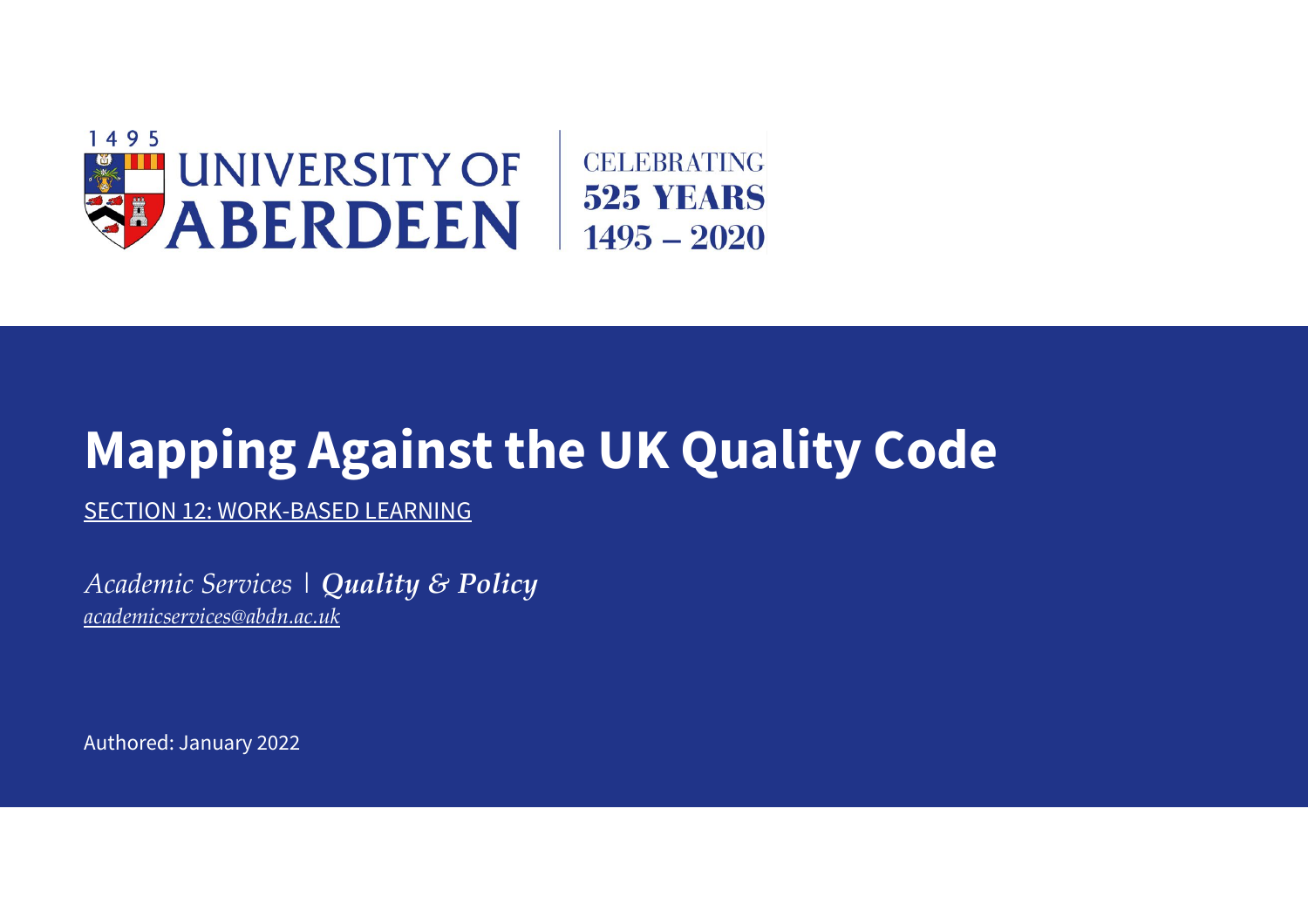

## **Mapping Against the UK Quality Code**

SECTION 12: WORK-BASED LEARNING

*Academic Services | Quality & Policy [academicservices@abdn.ac.uk](mailto:academicservices@abdn.ac.uk)*

Authored: January 2022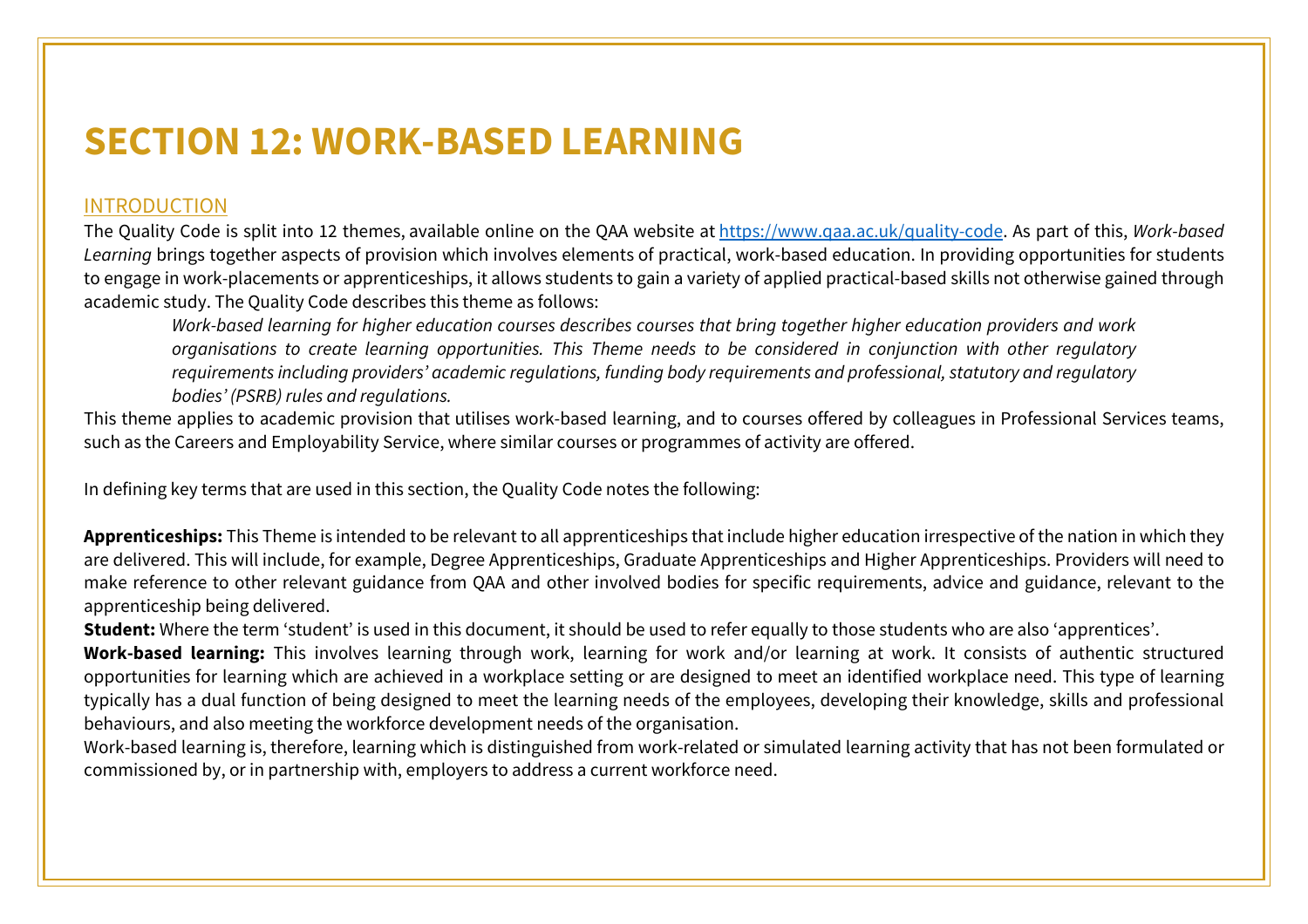## **SECTION 12: WORK-BASED LEARNING**

## INTRODUCTION

The Quality Code is split into 12 themes, available online on the QAA website at [https://www.qaa.ac.uk/quality-code.](https://www.qaa.ac.uk/quality-code) As part of this, *Work-based Learning* brings together aspects of provision which involves elements of practical, work-based education. In providing opportunities for students to engage in work-placements or apprenticeships, it allows students to gain a variety of applied practical-based skills not otherwise gained through academic study. The Quality Code describes this theme as follows:

*Work-based learning for higher education courses describes courses that bring together higher education providers and work organisations to create learning opportunities. This Theme needs to be considered in conjunction with other regulatory requirements including providers' academic regulations, funding body requirements and professional, statutory and regulatory bodies' (PSRB) rules and regulations.*

This theme applies to academic provision that utilises work-based learning, and to courses offered by colleagues in Professional Services teams, such as the Careers and Employability Service, where similar courses or programmes of activity are offered.

In defining key terms that are used in this section, the Quality Code notes the following:

**Apprenticeships:** This Theme is intended to be relevant to all apprenticeships that include higher education irrespective of the nation in which they are delivered. This will include, for example, Degree Apprenticeships, Graduate Apprenticeships and Higher Apprenticeships. Providers will need to make reference to other relevant guidance from QAA and other involved bodies for specific requirements, advice and guidance, relevant to the apprenticeship being delivered.

**Student:** Where the term 'student' is used in this document, it should be used to refer equally to those students who are also 'apprentices'.

**Work-based learning:** This involves learning through work, learning for work and/or learning at work. It consists of authentic structured opportunities for learning which are achieved in a workplace setting or are designed to meet an identified workplace need. This type of learning typically has a dual function of being designed to meet the learning needs of the employees, developing their knowledge, skills and professional behaviours, and also meeting the workforce development needs of the organisation.

Work-based learning is, therefore, learning which is distinguished from work-related or simulated learning activity that has not been formulated or commissioned by, or in partnership with, employers to address a current workforce need.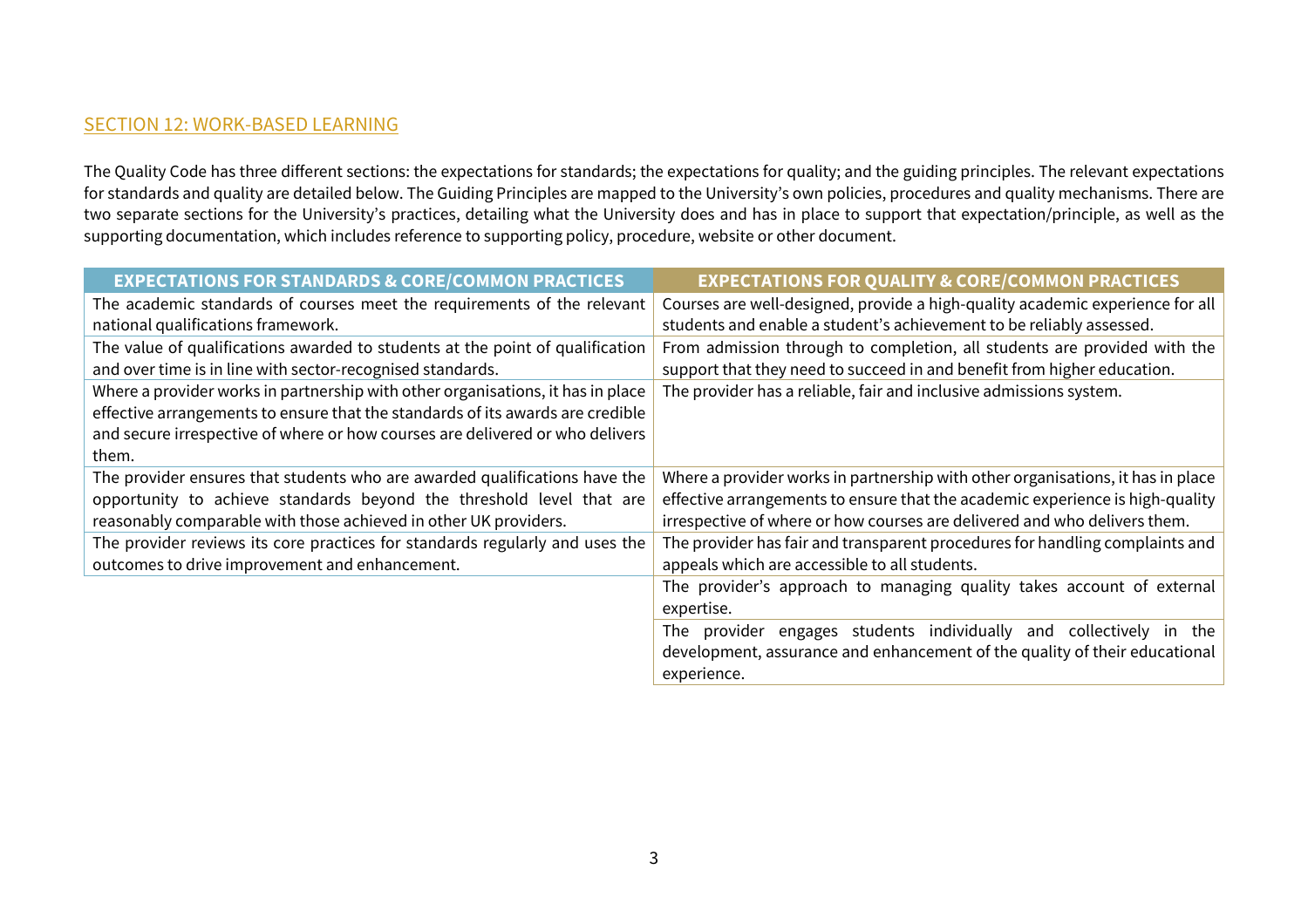## SECTION 12: WORK-BASED LEARNING

The Quality Code has three different sections: the expectations for standards; the expectations for quality; and the guiding principles. The relevant expectations for standards and quality are detailed below. The Guiding Principles are mapped to the University's own policies, procedures and quality mechanisms. There are two separate sections for the University's practices, detailing what the University does and has in place to support that expectation/principle, as well as the supporting documentation, which includes reference to supporting policy, procedure, website or other document.

| <b>EXPECTATIONS FOR STANDARDS &amp; CORE/COMMON PRACTICES</b>                   | <b>EXPECTATIONS FOR QUALITY &amp; CORE/COMMON PRACTICES</b>                     |
|---------------------------------------------------------------------------------|---------------------------------------------------------------------------------|
| The academic standards of courses meet the requirements of the relevant         | Courses are well-designed, provide a high-quality academic experience for all   |
| national qualifications framework.                                              | students and enable a student's achievement to be reliably assessed.            |
| The value of qualifications awarded to students at the point of qualification   | From admission through to completion, all students are provided with the        |
| and over time is in line with sector-recognised standards.                      | support that they need to succeed in and benefit from higher education.         |
| Where a provider works in partnership with other organisations, it has in place | The provider has a reliable, fair and inclusive admissions system.              |
| effective arrangements to ensure that the standards of its awards are credible  |                                                                                 |
| and secure irrespective of where or how courses are delivered or who delivers   |                                                                                 |
| them.                                                                           |                                                                                 |
| The provider ensures that students who are awarded qualifications have the      | Where a provider works in partnership with other organisations, it has in place |
| opportunity to achieve standards beyond the threshold level that are            | effective arrangements to ensure that the academic experience is high-quality   |
| reasonably comparable with those achieved in other UK providers.                | irrespective of where or how courses are delivered and who delivers them.       |
| The provider reviews its core practices for standards regularly and uses the    | The provider has fair and transparent procedures for handling complaints and    |
| outcomes to drive improvement and enhancement.                                  | appeals which are accessible to all students.                                   |
|                                                                                 | The provider's approach to managing quality takes account of external           |
|                                                                                 | expertise.                                                                      |
|                                                                                 | provider engages students individually and collectively in the<br>The           |
|                                                                                 | development, assurance and enhancement of the quality of their educational      |
|                                                                                 | experience.                                                                     |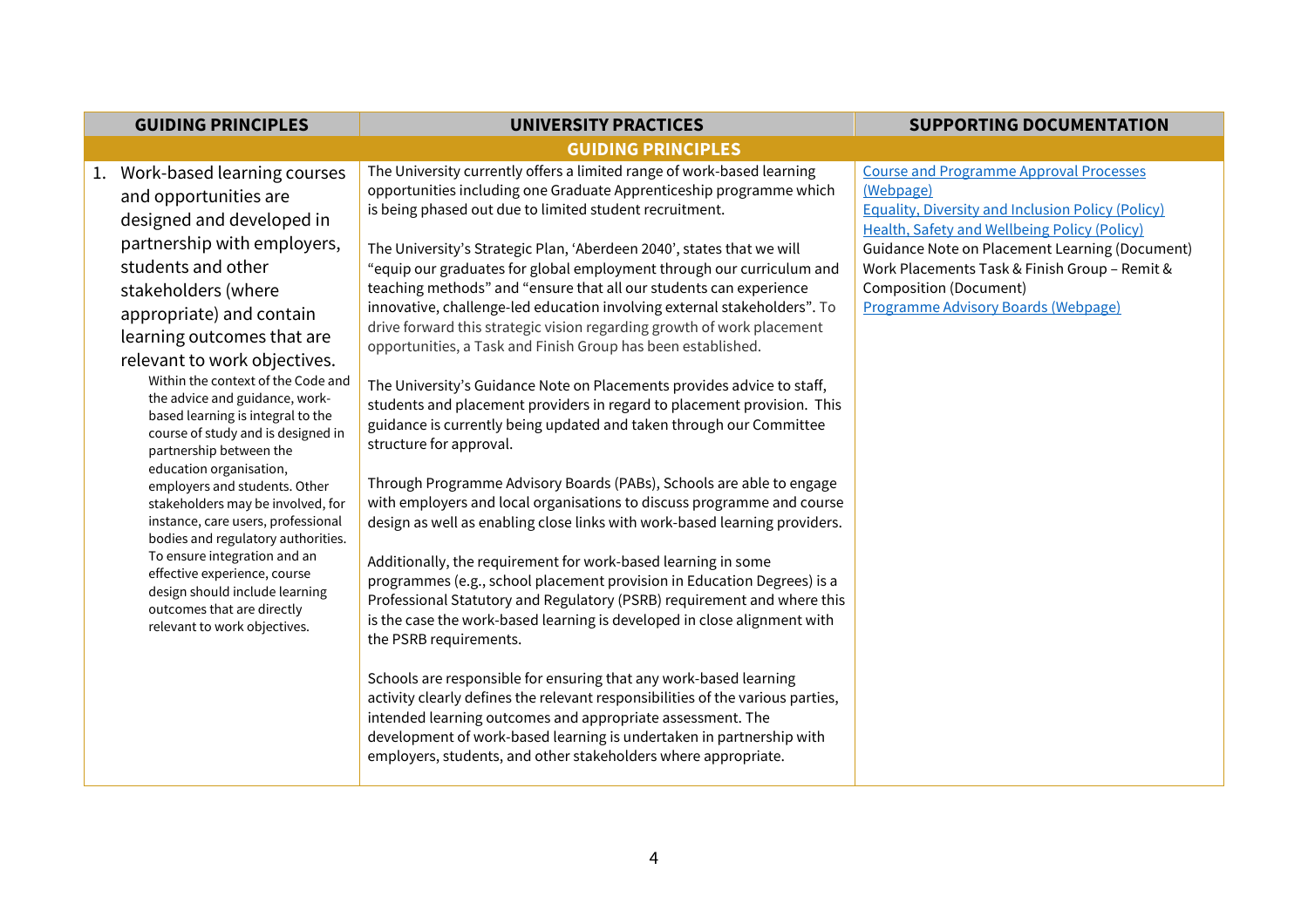| <b>GUIDING PRINCIPLES</b>                                                                                                                                                                                                                                                                                                                                                                                                                                                                                                                 | <b>UNIVERSITY PRACTICES</b>                                                                                                                                                                                                                                                                                                                                                                                                                                                                                                                                                                                                                                                                                                                                                                                                                                                                                                                                                                                                                                     | <b>SUPPORTING DOCUMENTATION</b>                                                                                                                                                                                                                                                                                                                                         |
|-------------------------------------------------------------------------------------------------------------------------------------------------------------------------------------------------------------------------------------------------------------------------------------------------------------------------------------------------------------------------------------------------------------------------------------------------------------------------------------------------------------------------------------------|-----------------------------------------------------------------------------------------------------------------------------------------------------------------------------------------------------------------------------------------------------------------------------------------------------------------------------------------------------------------------------------------------------------------------------------------------------------------------------------------------------------------------------------------------------------------------------------------------------------------------------------------------------------------------------------------------------------------------------------------------------------------------------------------------------------------------------------------------------------------------------------------------------------------------------------------------------------------------------------------------------------------------------------------------------------------|-------------------------------------------------------------------------------------------------------------------------------------------------------------------------------------------------------------------------------------------------------------------------------------------------------------------------------------------------------------------------|
|                                                                                                                                                                                                                                                                                                                                                                                                                                                                                                                                           | <b>GUIDING PRINCIPLES</b>                                                                                                                                                                                                                                                                                                                                                                                                                                                                                                                                                                                                                                                                                                                                                                                                                                                                                                                                                                                                                                       |                                                                                                                                                                                                                                                                                                                                                                         |
| 1. Work-based learning courses<br>and opportunities are<br>designed and developed in<br>partnership with employers,<br>students and other<br>stakeholders (where<br>appropriate) and contain<br>learning outcomes that are<br>relevant to work objectives.<br>Within the context of the Code and<br>the advice and guidance, work-<br>based learning is integral to the<br>course of study and is designed in<br>partnership between the<br>education organisation,<br>employers and students. Other<br>stakeholders may be involved, for | The University currently offers a limited range of work-based learning<br>opportunities including one Graduate Apprenticeship programme which<br>is being phased out due to limited student recruitment.<br>The University's Strategic Plan, 'Aberdeen 2040', states that we will<br>"equip our graduates for global employment through our curriculum and<br>teaching methods" and "ensure that all our students can experience<br>innovative, challenge-led education involving external stakeholders". To<br>drive forward this strategic vision regarding growth of work placement<br>opportunities, a Task and Finish Group has been established.<br>The University's Guidance Note on Placements provides advice to staff,<br>students and placement providers in regard to placement provision. This<br>guidance is currently being updated and taken through our Committee<br>structure for approval.<br>Through Programme Advisory Boards (PABs), Schools are able to engage<br>with employers and local organisations to discuss programme and course | <b>Course and Programme Approval Processes</b><br>(Webpage)<br><b>Equality, Diversity and Inclusion Policy (Policy)</b><br><b>Health, Safety and Wellbeing Policy (Policy)</b><br><b>Guidance Note on Placement Learning (Document)</b><br>Work Placements Task & Finish Group - Remit &<br><b>Composition (Document)</b><br><b>Programme Advisory Boards (Webpage)</b> |
| instance, care users, professional<br>bodies and regulatory authorities.<br>To ensure integration and an<br>effective experience, course<br>design should include learning<br>outcomes that are directly<br>relevant to work objectives.                                                                                                                                                                                                                                                                                                  | design as well as enabling close links with work-based learning providers.<br>Additionally, the requirement for work-based learning in some<br>programmes (e.g., school placement provision in Education Degrees) is a<br>Professional Statutory and Regulatory (PSRB) requirement and where this<br>is the case the work-based learning is developed in close alignment with<br>the PSRB requirements.<br>Schools are responsible for ensuring that any work-based learning<br>activity clearly defines the relevant responsibilities of the various parties,<br>intended learning outcomes and appropriate assessment. The<br>development of work-based learning is undertaken in partnership with<br>employers, students, and other stakeholders where appropriate.                                                                                                                                                                                                                                                                                          |                                                                                                                                                                                                                                                                                                                                                                         |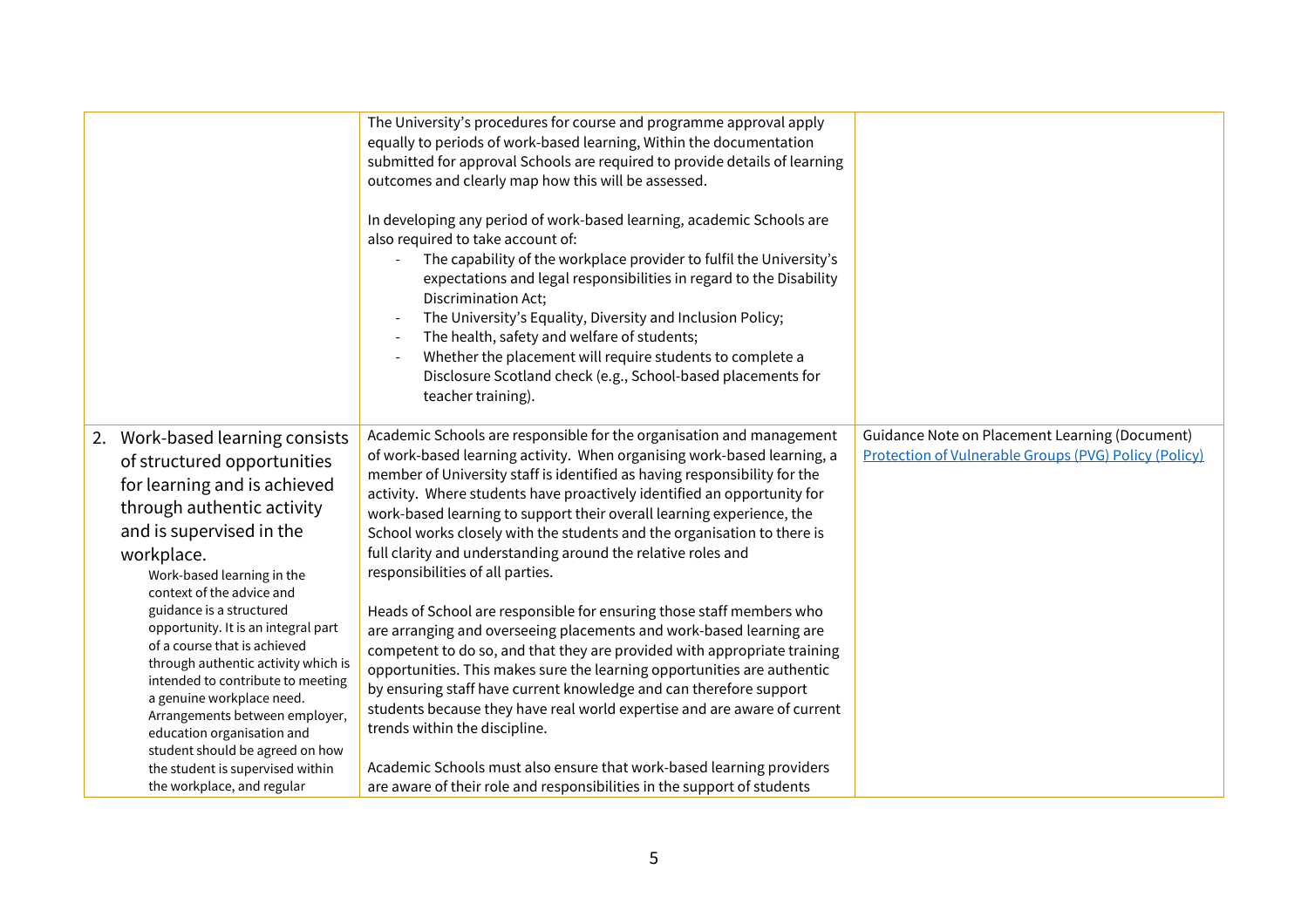|                                                                                                                                                                                                                                                                                                                                                                                                                                                                                                                                                                                                                    | The University's procedures for course and programme approval apply<br>equally to periods of work-based learning, Within the documentation<br>submitted for approval Schools are required to provide details of learning<br>outcomes and clearly map how this will be assessed.<br>In developing any period of work-based learning, academic Schools are<br>also required to take account of:<br>The capability of the workplace provider to fulfil the University's<br>expectations and legal responsibilities in regard to the Disability<br>Discrimination Act;<br>The University's Equality, Diversity and Inclusion Policy;<br>The health, safety and welfare of students;<br>Whether the placement will require students to complete a<br>Disclosure Scotland check (e.g., School-based placements for<br>teacher training).                                                                                                                                                                                                                                                                                                                                                                          |                                                                                                                |
|--------------------------------------------------------------------------------------------------------------------------------------------------------------------------------------------------------------------------------------------------------------------------------------------------------------------------------------------------------------------------------------------------------------------------------------------------------------------------------------------------------------------------------------------------------------------------------------------------------------------|-------------------------------------------------------------------------------------------------------------------------------------------------------------------------------------------------------------------------------------------------------------------------------------------------------------------------------------------------------------------------------------------------------------------------------------------------------------------------------------------------------------------------------------------------------------------------------------------------------------------------------------------------------------------------------------------------------------------------------------------------------------------------------------------------------------------------------------------------------------------------------------------------------------------------------------------------------------------------------------------------------------------------------------------------------------------------------------------------------------------------------------------------------------------------------------------------------------|----------------------------------------------------------------------------------------------------------------|
| 2. Work-based learning consists<br>of structured opportunities<br>for learning and is achieved<br>through authentic activity<br>and is supervised in the<br>workplace.<br>Work-based learning in the<br>context of the advice and<br>guidance is a structured<br>opportunity. It is an integral part<br>of a course that is achieved<br>through authentic activity which is<br>intended to contribute to meeting<br>a genuine workplace need.<br>Arrangements between employer,<br>education organisation and<br>student should be agreed on how<br>the student is supervised within<br>the workplace, and regular | Academic Schools are responsible for the organisation and management<br>of work-based learning activity. When organising work-based learning, a<br>member of University staff is identified as having responsibility for the<br>activity. Where students have proactively identified an opportunity for<br>work-based learning to support their overall learning experience, the<br>School works closely with the students and the organisation to there is<br>full clarity and understanding around the relative roles and<br>responsibilities of all parties.<br>Heads of School are responsible for ensuring those staff members who<br>are arranging and overseeing placements and work-based learning are<br>competent to do so, and that they are provided with appropriate training<br>opportunities. This makes sure the learning opportunities are authentic<br>by ensuring staff have current knowledge and can therefore support<br>students because they have real world expertise and are aware of current<br>trends within the discipline.<br>Academic Schools must also ensure that work-based learning providers<br>are aware of their role and responsibilities in the support of students | Guidance Note on Placement Learning (Document)<br><b>Protection of Vulnerable Groups (PVG) Policy (Policy)</b> |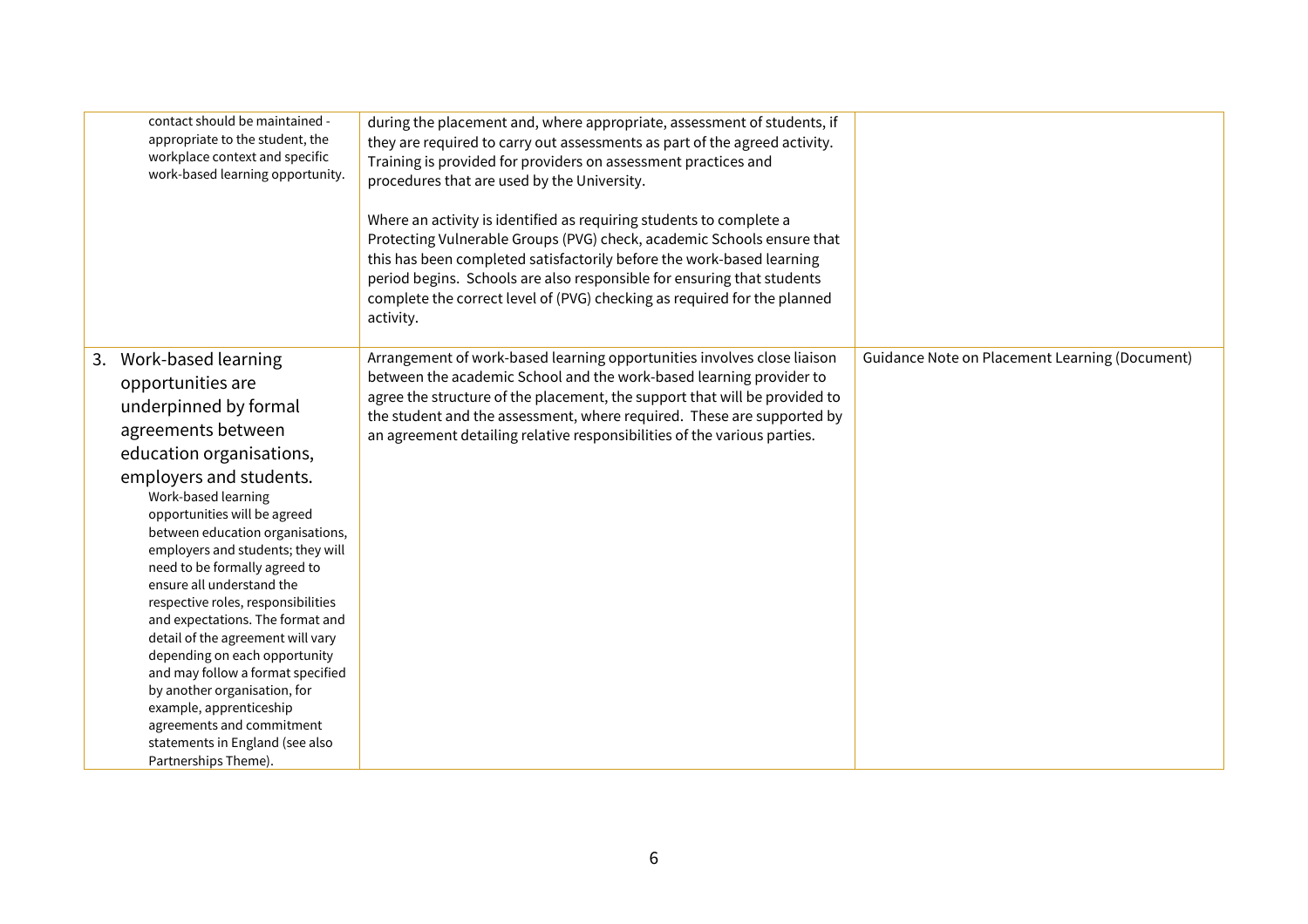| contact should be maintained -<br>appropriate to the student, the<br>workplace context and specific<br>work-based learning opportunity.                                                                                                                                                                                                                                                                                                                                                                                                                                                                                                                                                    | during the placement and, where appropriate, assessment of students, if<br>they are required to carry out assessments as part of the agreed activity.<br>Training is provided for providers on assessment practices and<br>procedures that are used by the University.<br>Where an activity is identified as requiring students to complete a<br>Protecting Vulnerable Groups (PVG) check, academic Schools ensure that<br>this has been completed satisfactorily before the work-based learning<br>period begins. Schools are also responsible for ensuring that students<br>complete the correct level of (PVG) checking as required for the planned<br>activity. |                                                |
|--------------------------------------------------------------------------------------------------------------------------------------------------------------------------------------------------------------------------------------------------------------------------------------------------------------------------------------------------------------------------------------------------------------------------------------------------------------------------------------------------------------------------------------------------------------------------------------------------------------------------------------------------------------------------------------------|---------------------------------------------------------------------------------------------------------------------------------------------------------------------------------------------------------------------------------------------------------------------------------------------------------------------------------------------------------------------------------------------------------------------------------------------------------------------------------------------------------------------------------------------------------------------------------------------------------------------------------------------------------------------|------------------------------------------------|
| Work-based learning<br>3.<br>opportunities are<br>underpinned by formal<br>agreements between<br>education organisations,<br>employers and students.<br>Work-based learning<br>opportunities will be agreed<br>between education organisations,<br>employers and students; they will<br>need to be formally agreed to<br>ensure all understand the<br>respective roles, responsibilities<br>and expectations. The format and<br>detail of the agreement will vary<br>depending on each opportunity<br>and may follow a format specified<br>by another organisation, for<br>example, apprenticeship<br>agreements and commitment<br>statements in England (see also<br>Partnerships Theme). | Arrangement of work-based learning opportunities involves close liaison<br>between the academic School and the work-based learning provider to<br>agree the structure of the placement, the support that will be provided to<br>the student and the assessment, where required. These are supported by<br>an agreement detailing relative responsibilities of the various parties.                                                                                                                                                                                                                                                                                  | Guidance Note on Placement Learning (Document) |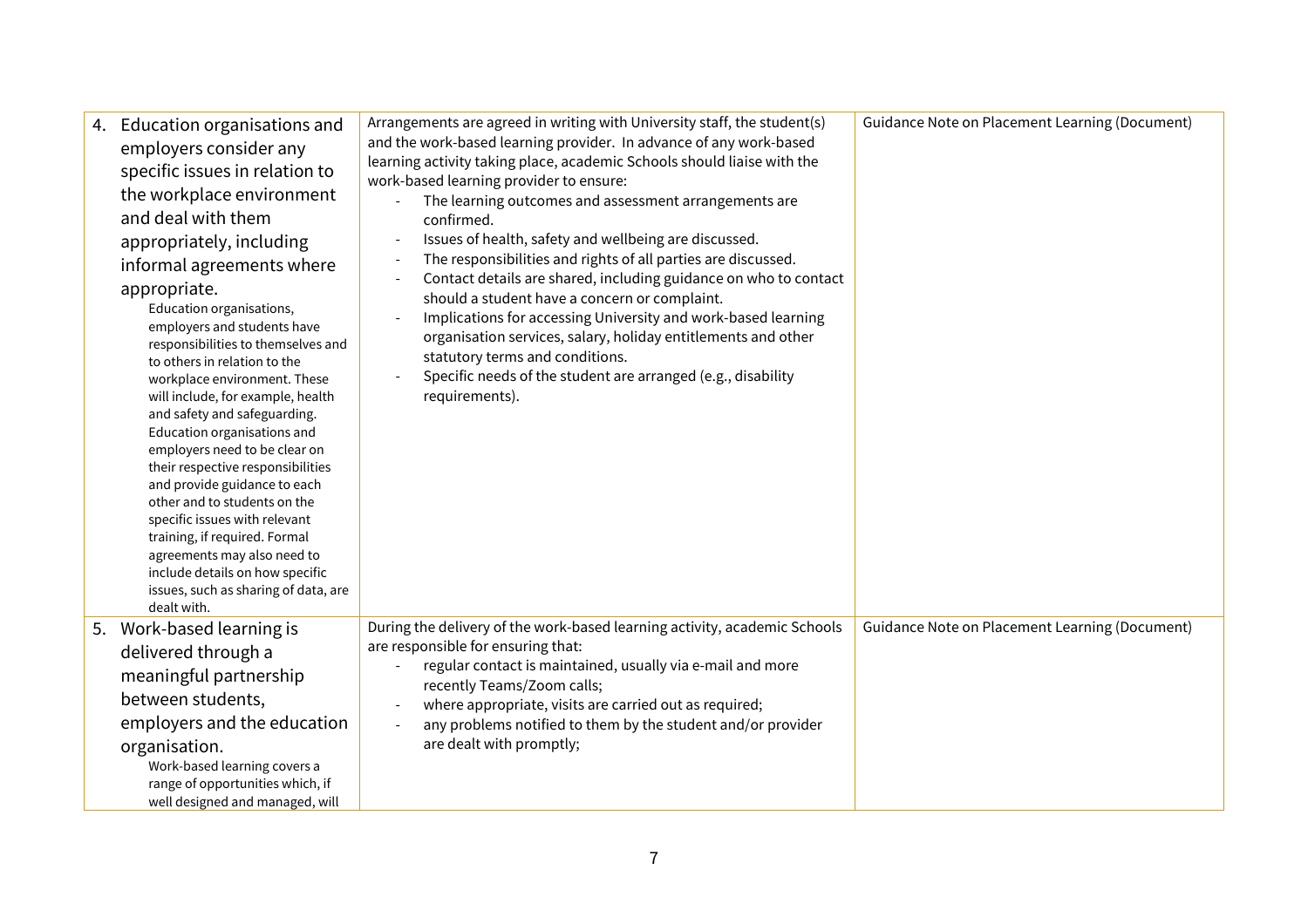| 4. Education organisations and<br>employers consider any<br>specific issues in relation to<br>the workplace environment<br>and deal with them<br>appropriately, including<br>informal agreements where<br>appropriate.<br>Education organisations,<br>employers and students have<br>responsibilities to themselves and<br>to others in relation to the<br>workplace environment. These<br>will include, for example, health<br>and safety and safeguarding.<br>Education organisations and<br>employers need to be clear on<br>their respective responsibilities<br>and provide guidance to each<br>other and to students on the<br>specific issues with relevant<br>training, if required. Formal<br>agreements may also need to<br>include details on how specific<br>issues, such as sharing of data, are<br>dealt with. | Arrangements are agreed in writing with University staff, the student(s)<br>and the work-based learning provider. In advance of any work-based<br>learning activity taking place, academic Schools should liaise with the<br>work-based learning provider to ensure:<br>The learning outcomes and assessment arrangements are<br>confirmed.<br>Issues of health, safety and wellbeing are discussed.<br>The responsibilities and rights of all parties are discussed.<br>Contact details are shared, including guidance on who to contact<br>$\overline{\phantom{a}}$<br>should a student have a concern or complaint.<br>Implications for accessing University and work-based learning<br>organisation services, salary, holiday entitlements and other<br>statutory terms and conditions.<br>Specific needs of the student are arranged (e.g., disability<br>requirements). | Guidance Note on Placement Learning (Document) |
|------------------------------------------------------------------------------------------------------------------------------------------------------------------------------------------------------------------------------------------------------------------------------------------------------------------------------------------------------------------------------------------------------------------------------------------------------------------------------------------------------------------------------------------------------------------------------------------------------------------------------------------------------------------------------------------------------------------------------------------------------------------------------------------------------------------------------|-------------------------------------------------------------------------------------------------------------------------------------------------------------------------------------------------------------------------------------------------------------------------------------------------------------------------------------------------------------------------------------------------------------------------------------------------------------------------------------------------------------------------------------------------------------------------------------------------------------------------------------------------------------------------------------------------------------------------------------------------------------------------------------------------------------------------------------------------------------------------------|------------------------------------------------|
| 5. Work-based learning is<br>delivered through a<br>meaningful partnership<br>between students,<br>employers and the education<br>organisation.<br>Work-based learning covers a<br>range of opportunities which, if<br>well designed and managed, will                                                                                                                                                                                                                                                                                                                                                                                                                                                                                                                                                                       | During the delivery of the work-based learning activity, academic Schools<br>are responsible for ensuring that:<br>regular contact is maintained, usually via e-mail and more<br>recently Teams/Zoom calls;<br>where appropriate, visits are carried out as required;<br>$\overline{\phantom{a}}$<br>any problems notified to them by the student and/or provider<br>$\overline{\phantom{a}}$<br>are dealt with promptly;                                                                                                                                                                                                                                                                                                                                                                                                                                                     | Guidance Note on Placement Learning (Document) |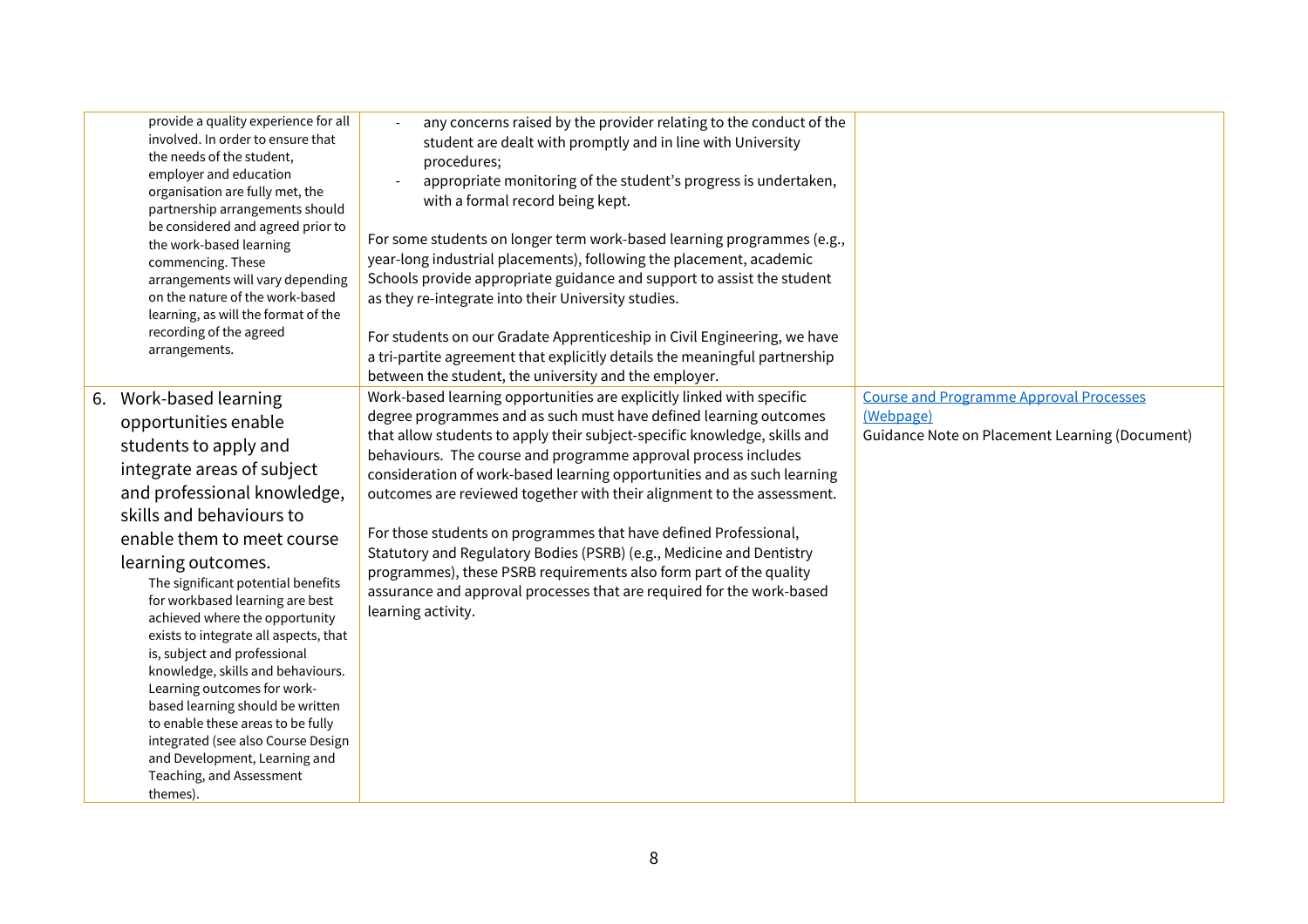| provide a quality experience for all<br>involved. In order to ensure that<br>the needs of the student,<br>employer and education<br>organisation are fully met, the<br>partnership arrangements should<br>be considered and agreed prior to<br>the work-based learning<br>commencing. These<br>arrangements will vary depending<br>on the nature of the work-based<br>learning, as will the format of the<br>recording of the agreed<br>arrangements.                                                                                                                                                                                                                | any concerns raised by the provider relating to the conduct of the<br>student are dealt with promptly and in line with University<br>procedures;<br>appropriate monitoring of the student's progress is undertaken,<br>with a formal record being kept.<br>For some students on longer term work-based learning programmes (e.g.,<br>year-long industrial placements), following the placement, academic<br>Schools provide appropriate guidance and support to assist the student<br>as they re-integrate into their University studies.<br>For students on our Gradate Apprenticeship in Civil Engineering, we have<br>a tri-partite agreement that explicitly details the meaningful partnership<br>between the student, the university and the employer.    |                                                                                                               |
|----------------------------------------------------------------------------------------------------------------------------------------------------------------------------------------------------------------------------------------------------------------------------------------------------------------------------------------------------------------------------------------------------------------------------------------------------------------------------------------------------------------------------------------------------------------------------------------------------------------------------------------------------------------------|-----------------------------------------------------------------------------------------------------------------------------------------------------------------------------------------------------------------------------------------------------------------------------------------------------------------------------------------------------------------------------------------------------------------------------------------------------------------------------------------------------------------------------------------------------------------------------------------------------------------------------------------------------------------------------------------------------------------------------------------------------------------|---------------------------------------------------------------------------------------------------------------|
| 6. Work-based learning<br>opportunities enable<br>students to apply and<br>integrate areas of subject<br>and professional knowledge,<br>skills and behaviours to<br>enable them to meet course<br>learning outcomes.<br>The significant potential benefits<br>for workbased learning are best<br>achieved where the opportunity<br>exists to integrate all aspects, that<br>is, subject and professional<br>knowledge, skills and behaviours.<br>Learning outcomes for work-<br>based learning should be written<br>to enable these areas to be fully<br>integrated (see also Course Design<br>and Development, Learning and<br>Teaching, and Assessment<br>themes). | Work-based learning opportunities are explicitly linked with specific<br>degree programmes and as such must have defined learning outcomes<br>that allow students to apply their subject-specific knowledge, skills and<br>behaviours. The course and programme approval process includes<br>consideration of work-based learning opportunities and as such learning<br>outcomes are reviewed together with their alignment to the assessment.<br>For those students on programmes that have defined Professional,<br>Statutory and Regulatory Bodies (PSRB) (e.g., Medicine and Dentistry<br>programmes), these PSRB requirements also form part of the quality<br>assurance and approval processes that are required for the work-based<br>learning activity. | <b>Course and Programme Approval Processes</b><br>(Webpage)<br>Guidance Note on Placement Learning (Document) |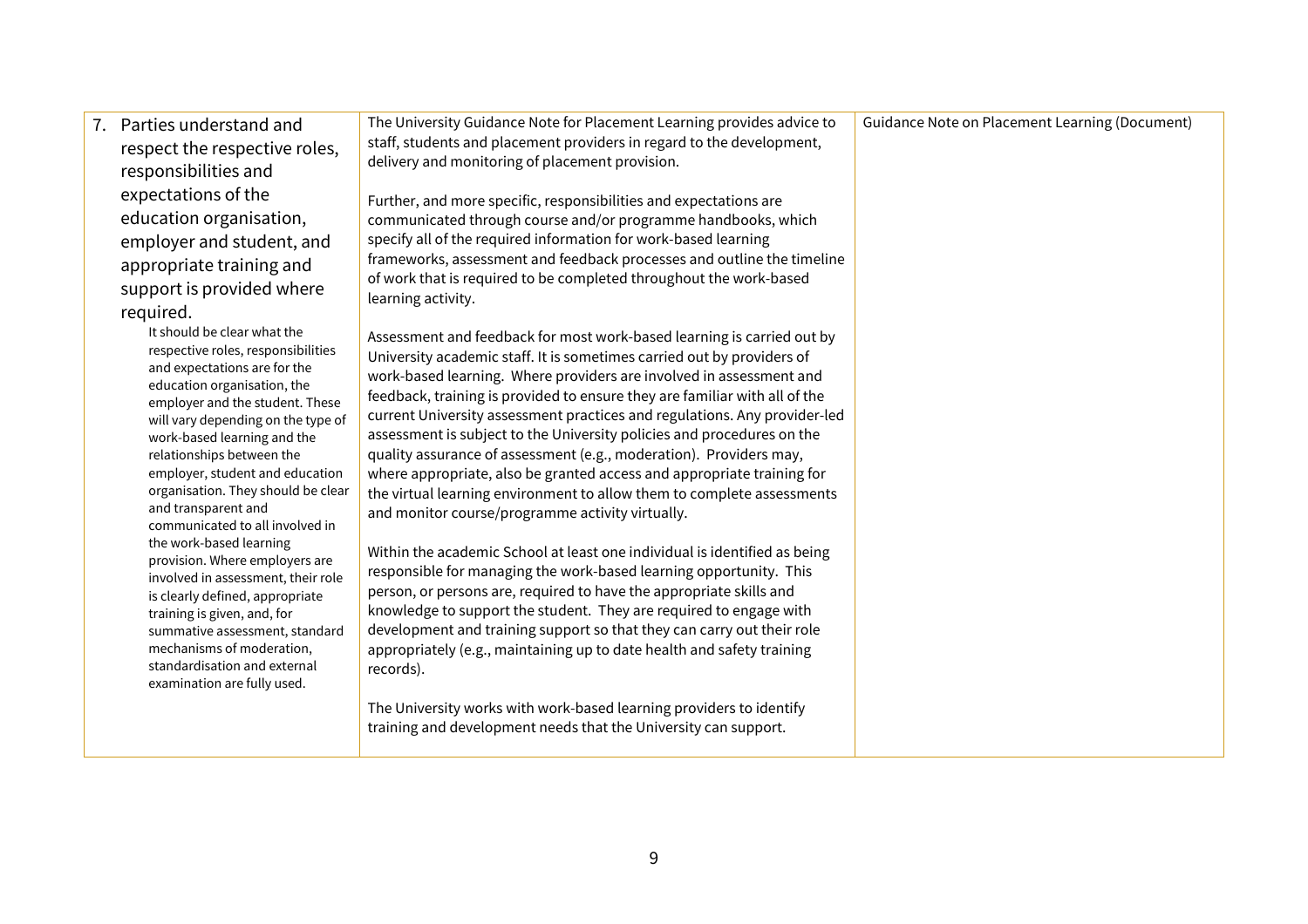| 7. Parties understand and<br>respect the respective roles,<br>responsibilities and<br>expectations of the<br>education organisation,<br>employer and student, and                                                                                                                                                                                                                                                                                                                                                                                                                                                                                                                                           | The University Guidance Note for Placement Learning provides advice to<br>staff, students and placement providers in regard to the development,<br>delivery and monitoring of placement provision.<br>Further, and more specific, responsibilities and expectations are<br>communicated through course and/or programme handbooks, which<br>specify all of the required information for work-based learning                                                                                                                                                                                                                                                                                                                                                                                                                                                                                                                                                                                                                                                                                                                                                                                                 | Guidance Note on Placement Learning (Document) |
|-------------------------------------------------------------------------------------------------------------------------------------------------------------------------------------------------------------------------------------------------------------------------------------------------------------------------------------------------------------------------------------------------------------------------------------------------------------------------------------------------------------------------------------------------------------------------------------------------------------------------------------------------------------------------------------------------------------|-------------------------------------------------------------------------------------------------------------------------------------------------------------------------------------------------------------------------------------------------------------------------------------------------------------------------------------------------------------------------------------------------------------------------------------------------------------------------------------------------------------------------------------------------------------------------------------------------------------------------------------------------------------------------------------------------------------------------------------------------------------------------------------------------------------------------------------------------------------------------------------------------------------------------------------------------------------------------------------------------------------------------------------------------------------------------------------------------------------------------------------------------------------------------------------------------------------|------------------------------------------------|
| appropriate training and<br>support is provided where<br>required.                                                                                                                                                                                                                                                                                                                                                                                                                                                                                                                                                                                                                                          | frameworks, assessment and feedback processes and outline the timeline<br>of work that is required to be completed throughout the work-based<br>learning activity.                                                                                                                                                                                                                                                                                                                                                                                                                                                                                                                                                                                                                                                                                                                                                                                                                                                                                                                                                                                                                                          |                                                |
| It should be clear what the<br>respective roles, responsibilities<br>and expectations are for the<br>education organisation, the<br>employer and the student. These<br>will vary depending on the type of<br>work-based learning and the<br>relationships between the<br>employer, student and education<br>organisation. They should be clear<br>and transparent and<br>communicated to all involved in<br>the work-based learning<br>provision. Where employers are<br>involved in assessment, their role<br>is clearly defined, appropriate<br>training is given, and, for<br>summative assessment, standard<br>mechanisms of moderation,<br>standardisation and external<br>examination are fully used. | Assessment and feedback for most work-based learning is carried out by<br>University academic staff. It is sometimes carried out by providers of<br>work-based learning. Where providers are involved in assessment and<br>feedback, training is provided to ensure they are familiar with all of the<br>current University assessment practices and regulations. Any provider-led<br>assessment is subject to the University policies and procedures on the<br>quality assurance of assessment (e.g., moderation). Providers may,<br>where appropriate, also be granted access and appropriate training for<br>the virtual learning environment to allow them to complete assessments<br>and monitor course/programme activity virtually.<br>Within the academic School at least one individual is identified as being<br>responsible for managing the work-based learning opportunity. This<br>person, or persons are, required to have the appropriate skills and<br>knowledge to support the student. They are required to engage with<br>development and training support so that they can carry out their role<br>appropriately (e.g., maintaining up to date health and safety training<br>records). |                                                |
|                                                                                                                                                                                                                                                                                                                                                                                                                                                                                                                                                                                                                                                                                                             | The University works with work-based learning providers to identify<br>training and development needs that the University can support.                                                                                                                                                                                                                                                                                                                                                                                                                                                                                                                                                                                                                                                                                                                                                                                                                                                                                                                                                                                                                                                                      |                                                |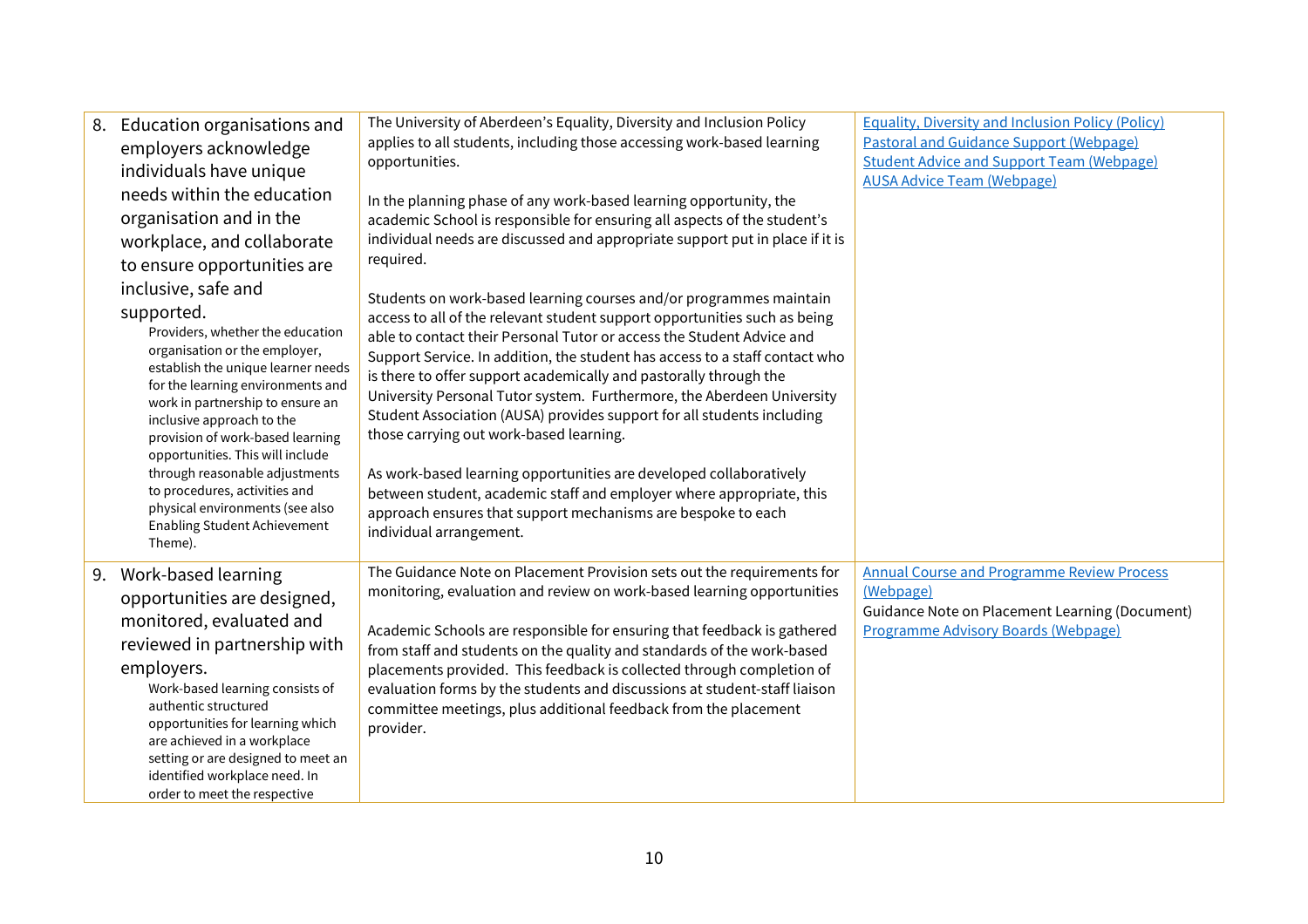| 8. | Education organisations and<br>employers acknowledge                                                                                                                                                                                                                                                                                                                                                                                                                               | The University of Aberdeen's Equality, Diversity and Inclusion Policy<br>applies to all students, including those accessing work-based learning<br>opportunities.                                                                                                                                                                                                                                                                                                                                                                                                                                                                                                                                                                                                                                                    | <b>Equality, Diversity and Inclusion Policy (Policy)</b><br><b>Pastoral and Guidance Support (Webpage)</b><br><b>Student Advice and Support Team (Webpage)</b> |
|----|------------------------------------------------------------------------------------------------------------------------------------------------------------------------------------------------------------------------------------------------------------------------------------------------------------------------------------------------------------------------------------------------------------------------------------------------------------------------------------|----------------------------------------------------------------------------------------------------------------------------------------------------------------------------------------------------------------------------------------------------------------------------------------------------------------------------------------------------------------------------------------------------------------------------------------------------------------------------------------------------------------------------------------------------------------------------------------------------------------------------------------------------------------------------------------------------------------------------------------------------------------------------------------------------------------------|----------------------------------------------------------------------------------------------------------------------------------------------------------------|
|    | individuals have unique<br>needs within the education<br>organisation and in the<br>workplace, and collaborate<br>to ensure opportunities are                                                                                                                                                                                                                                                                                                                                      | In the planning phase of any work-based learning opportunity, the<br>academic School is responsible for ensuring all aspects of the student's<br>individual needs are discussed and appropriate support put in place if it is<br>required.                                                                                                                                                                                                                                                                                                                                                                                                                                                                                                                                                                           | <b>AUSA Advice Team (Webpage)</b>                                                                                                                              |
|    | inclusive, safe and<br>supported.<br>Providers, whether the education<br>organisation or the employer,<br>establish the unique learner needs<br>for the learning environments and<br>work in partnership to ensure an<br>inclusive approach to the<br>provision of work-based learning<br>opportunities. This will include<br>through reasonable adjustments<br>to procedures, activities and<br>physical environments (see also<br><b>Enabling Student Achievement</b><br>Theme). | Students on work-based learning courses and/or programmes maintain<br>access to all of the relevant student support opportunities such as being<br>able to contact their Personal Tutor or access the Student Advice and<br>Support Service. In addition, the student has access to a staff contact who<br>is there to offer support academically and pastorally through the<br>University Personal Tutor system. Furthermore, the Aberdeen University<br>Student Association (AUSA) provides support for all students including<br>those carrying out work-based learning.<br>As work-based learning opportunities are developed collaboratively<br>between student, academic staff and employer where appropriate, this<br>approach ensures that support mechanisms are bespoke to each<br>individual arrangement. |                                                                                                                                                                |
| 9. | Work-based learning<br>opportunities are designed,<br>monitored, evaluated and<br>reviewed in partnership with<br>employers.<br>Work-based learning consists of<br>authentic structured<br>opportunities for learning which<br>are achieved in a workplace<br>setting or are designed to meet an<br>identified workplace need. In<br>order to meet the respective                                                                                                                  | The Guidance Note on Placement Provision sets out the requirements for<br>monitoring, evaluation and review on work-based learning opportunities<br>Academic Schools are responsible for ensuring that feedback is gathered<br>from staff and students on the quality and standards of the work-based<br>placements provided. This feedback is collected through completion of<br>evaluation forms by the students and discussions at student-staff liaison<br>committee meetings, plus additional feedback from the placement<br>provider.                                                                                                                                                                                                                                                                          | <b>Annual Course and Programme Review Process</b><br>(Webpage)<br>Guidance Note on Placement Learning (Document)<br>Programme Advisory Boards (Webpage)        |